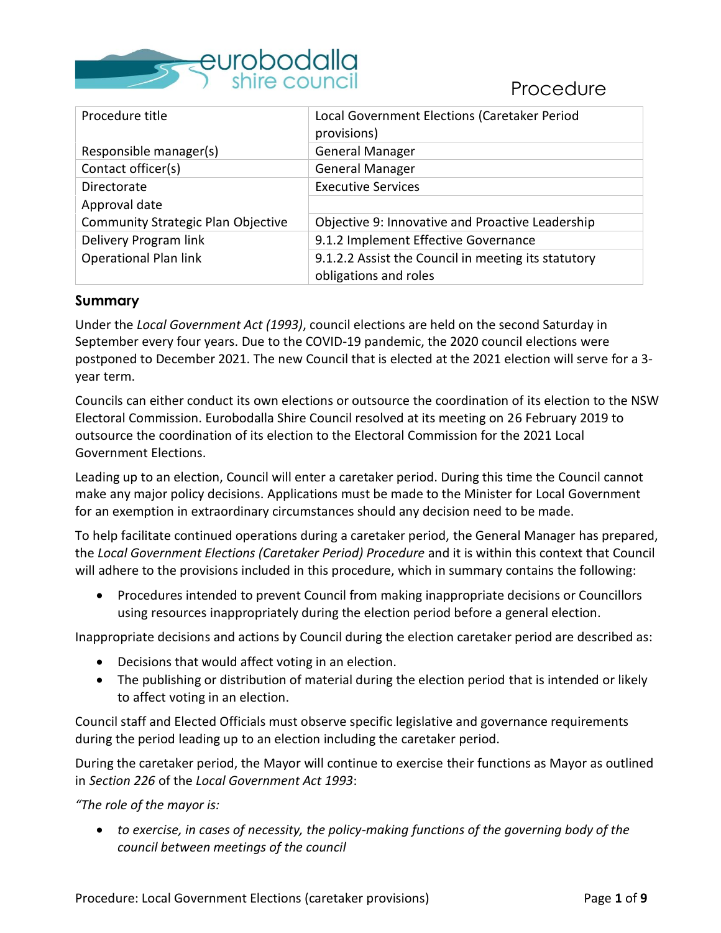

| Procedure title                           | Local Government Elections (Caretaker Period<br>provisions)                  |
|-------------------------------------------|------------------------------------------------------------------------------|
| Responsible manager(s)                    | <b>General Manager</b>                                                       |
| Contact officer(s)                        | <b>General Manager</b>                                                       |
| Directorate                               | <b>Executive Services</b>                                                    |
| Approval date                             |                                                                              |
| <b>Community Strategic Plan Objective</b> | Objective 9: Innovative and Proactive Leadership                             |
| Delivery Program link                     | 9.1.2 Implement Effective Governance                                         |
| <b>Operational Plan link</b>              | 9.1.2.2 Assist the Council in meeting its statutory<br>obligations and roles |

## **Summary**

Under the *Local Government Act (1993)*, council elections are held on the second Saturday in September every four years. Due to the COVID-19 pandemic, the 2020 council elections were postponed to December 2021. The new Council that is elected at the 2021 election will serve for a 3 year term.

Councils can either conduct its own elections or outsource the coordination of its election to the NSW Electoral Commission. Eurobodalla Shire Council resolved at its meeting on 26 February 2019 to outsource the coordination of its election to the Electoral Commission for the 2021 Local Government Elections.

Leading up to an election, Council will enter a caretaker period. During this time the Council cannot make any major policy decisions. Applications must be made to the Minister for Local Government for an exemption in extraordinary circumstances should any decision need to be made.

To help facilitate continued operations during a caretaker period, the General Manager has prepared, the *Local Government Elections (Caretaker Period) Procedure* and it is within this context that Council will adhere to the provisions included in this procedure, which in summary contains the following:

• Procedures intended to prevent Council from making inappropriate decisions or Councillors using resources inappropriately during the election period before a general election.

Inappropriate decisions and actions by Council during the election caretaker period are described as:

- Decisions that would affect voting in an election.
- The publishing or distribution of material during the election period that is intended or likely to affect voting in an election.

Council staff and Elected Officials must observe specific legislative and governance requirements during the period leading up to an election including the caretaker period.

During the caretaker period, the Mayor will continue to exercise their functions as Mayor as outlined in *Section 226* of the *Local Government Act 1993*:

*"The role of the mayor is:*

• *to exercise, in cases of necessity, the policy-making functions of the governing body of the council between meetings of the council*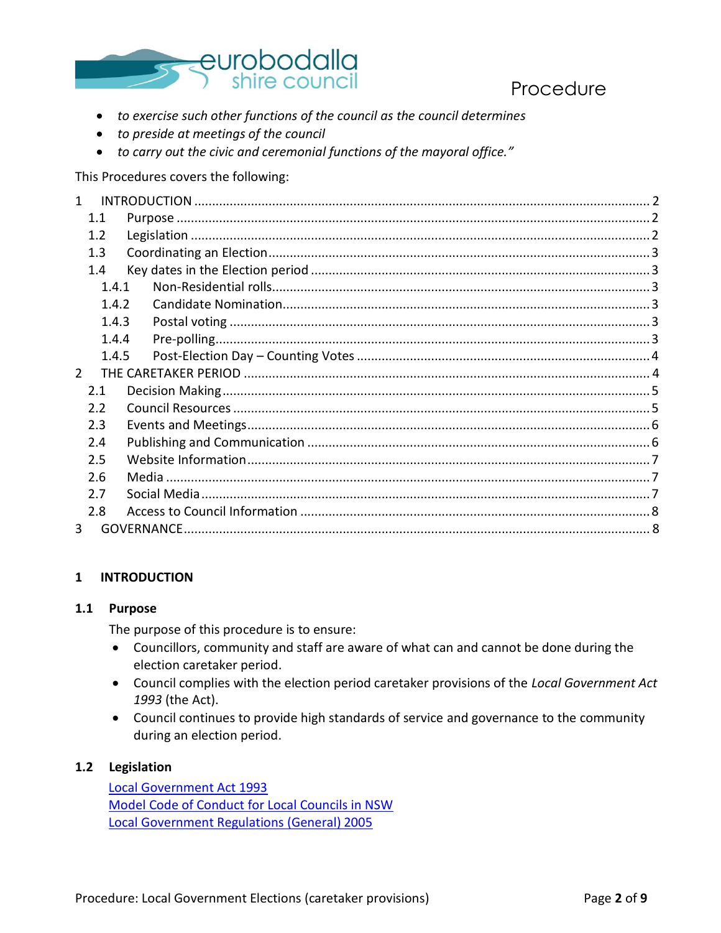

- *to exercise such other functions of the council as the council determines*
- *to preside at meetings of the council*
- *to carry out the civic and ceremonial functions of the mayoral office."*

This Procedures covers the following:

| 1.1              |       |  |
|------------------|-------|--|
| 1.2 <sub>2</sub> |       |  |
| 1.3              |       |  |
| 1.4              |       |  |
|                  | 1.4.1 |  |
|                  | 1.4.2 |  |
|                  | 1.4.3 |  |
|                  | 1.4.4 |  |
|                  | 1.4.5 |  |
| $\mathcal{P}$    |       |  |
| 2.1              |       |  |
| 2.2              |       |  |
| 2.3              |       |  |
| 2.4              |       |  |
| 2.5              |       |  |
| 2.6              |       |  |
| 2.7              |       |  |
| 2.8              |       |  |
| 3                |       |  |

## <span id="page-1-0"></span>**1 INTRODUCTION**

### <span id="page-1-1"></span>**1.1 Purpose**

The purpose of this procedure is to ensure:

- Councillors, community and staff are aware of what can and cannot be done during the election caretaker period.
- Council complies with the election period caretaker provisions of the *Local Government Act 1993* (the Act).
- Council continues to provide high standards of service and governance to the community during an election period.

### <span id="page-1-2"></span>**1.2 Legislation**

[Local Government Act 1993](http://www.austlii.edu.au/au/legis/nsw/consol_act/lga1993182/) [Model Code of Conduct for Local Councils in NSW](https://www.olg.nsw.gov.au/sites/default/files/Model%20Code%20of%20Conduct%20-%20November%202015.pdf) [Local Government Regulations \(General\) 2005](http://www.legislation.nsw.gov.au/#/view/regulation/2005/487/part11/div11/sec393b)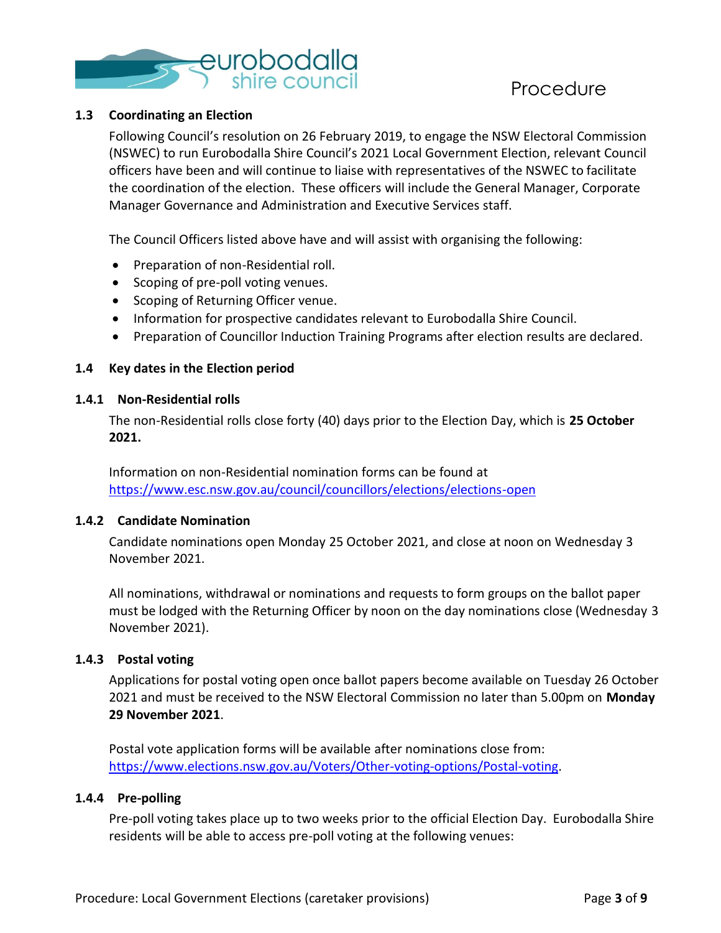

#### <span id="page-2-0"></span>**1.3 Coordinating an Election**

Following Council's resolution on 26 February 2019, to engage the NSW Electoral Commission (NSWEC) to run Eurobodalla Shire Council's 2021 Local Government Election, relevant Council officers have been and will continue to liaise with representatives of the NSWEC to facilitate the coordination of the election. These officers will include the General Manager, Corporate Manager Governance and Administration and Executive Services staff.

The Council Officers listed above have and will assist with organising the following:

- Preparation of non-Residential roll.
- Scoping of pre-poll voting venues.
- Scoping of Returning Officer venue.
- Information for prospective candidates relevant to Eurobodalla Shire Council.
- Preparation of Councillor Induction Training Programs after election results are declared.

#### <span id="page-2-1"></span>**1.4 Key dates in the Election period**

#### <span id="page-2-2"></span>**1.4.1 Non-Residential rolls**

The non-Residential rolls close forty (40) days prior to the Election Day, which is **25 October 2021.**

Information on non-Residential nomination forms can be found at <https://www.esc.nsw.gov.au/council/councillors/elections/elections-open>

#### <span id="page-2-3"></span>**1.4.2 Candidate Nomination**

Candidate nominations open Monday 25 October 2021, and close at noon on Wednesday 3 November 2021.

All nominations, withdrawal or nominations and requests to form groups on the ballot paper must be lodged with the Returning Officer by noon on the day nominations close (Wednesday 3 November 2021).

#### <span id="page-2-4"></span>**1.4.3 Postal voting**

Applications for postal voting open once ballot papers become available on Tuesday 26 October 2021 and must be received to the NSW Electoral Commission no later than 5.00pm on **Monday 29 November 2021**.

Postal vote application forms will be available after nominations close from: [https://www.elections.nsw.gov.au/Voters/Other-voting-options/Postal-voting.](https://www.elections.nsw.gov.au/Voters/Other-voting-options/Postal-voting)

#### <span id="page-2-5"></span>**1.4.4 Pre-polling**

Pre-poll voting takes place up to two weeks prior to the official Election Day. Eurobodalla Shire residents will be able to access pre-poll voting at the following venues: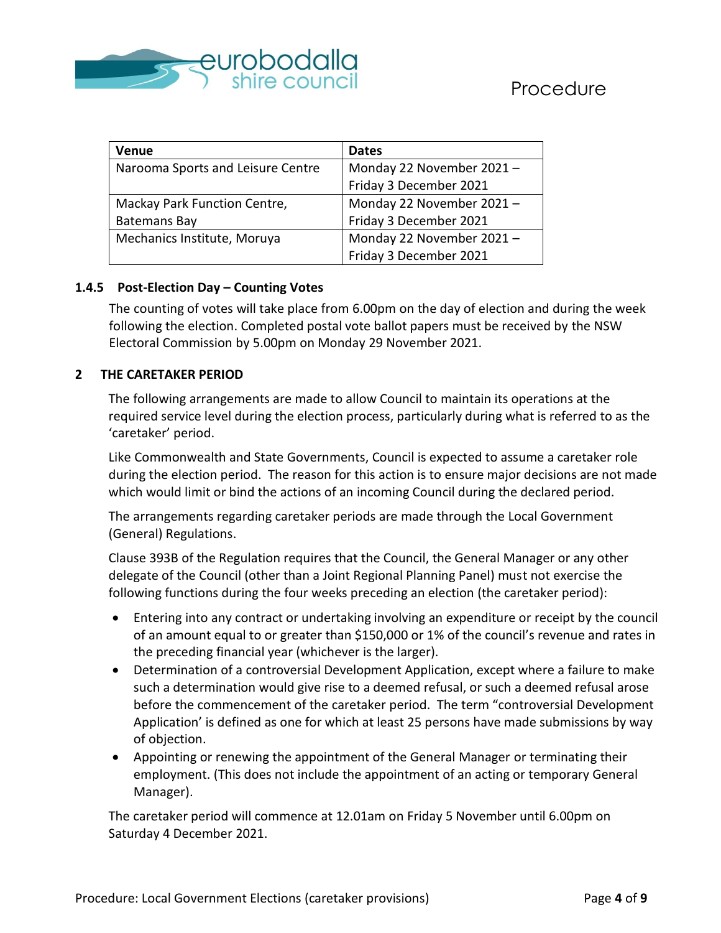

| Venue                             | <b>Dates</b>             |  |
|-----------------------------------|--------------------------|--|
| Narooma Sports and Leisure Centre | Monday 22 November 2021- |  |
|                                   | Friday 3 December 2021   |  |
| Mackay Park Function Centre,      | Monday 22 November 2021- |  |
| <b>Batemans Bay</b>               | Friday 3 December 2021   |  |
| Mechanics Institute, Moruya       | Monday 22 November 2021- |  |
|                                   | Friday 3 December 2021   |  |

### <span id="page-3-0"></span>**1.4.5 Post-Election Day – Counting Votes**

The counting of votes will take place from 6.00pm on the day of election and during the week following the election. Completed postal vote ballot papers must be received by the NSW Electoral Commission by 5.00pm on Monday 29 November 2021.

### <span id="page-3-1"></span>**2 THE CARETAKER PERIOD**

The following arrangements are made to allow Council to maintain its operations at the required service level during the election process, particularly during what is referred to as the 'caretaker' period.

Like Commonwealth and State Governments, Council is expected to assume a caretaker role during the election period. The reason for this action is to ensure major decisions are not made which would limit or bind the actions of an incoming Council during the declared period.

The arrangements regarding caretaker periods are made through the Local Government (General) Regulations.

Clause 393B of the Regulation requires that the Council, the General Manager or any other delegate of the Council (other than a Joint Regional Planning Panel) must not exercise the following functions during the four weeks preceding an election (the caretaker period):

- Entering into any contract or undertaking involving an expenditure or receipt by the council of an amount equal to or greater than \$150,000 or 1% of the council's revenue and rates in the preceding financial year (whichever is the larger).
- Determination of a controversial Development Application, except where a failure to make such a determination would give rise to a deemed refusal, or such a deemed refusal arose before the commencement of the caretaker period. The term "controversial Development Application' is defined as one for which at least 25 persons have made submissions by way of objection.
- Appointing or renewing the appointment of the General Manager or terminating their employment. (This does not include the appointment of an acting or temporary General Manager).

The caretaker period will commence at 12.01am on Friday 5 November until 6.00pm on Saturday 4 December 2021.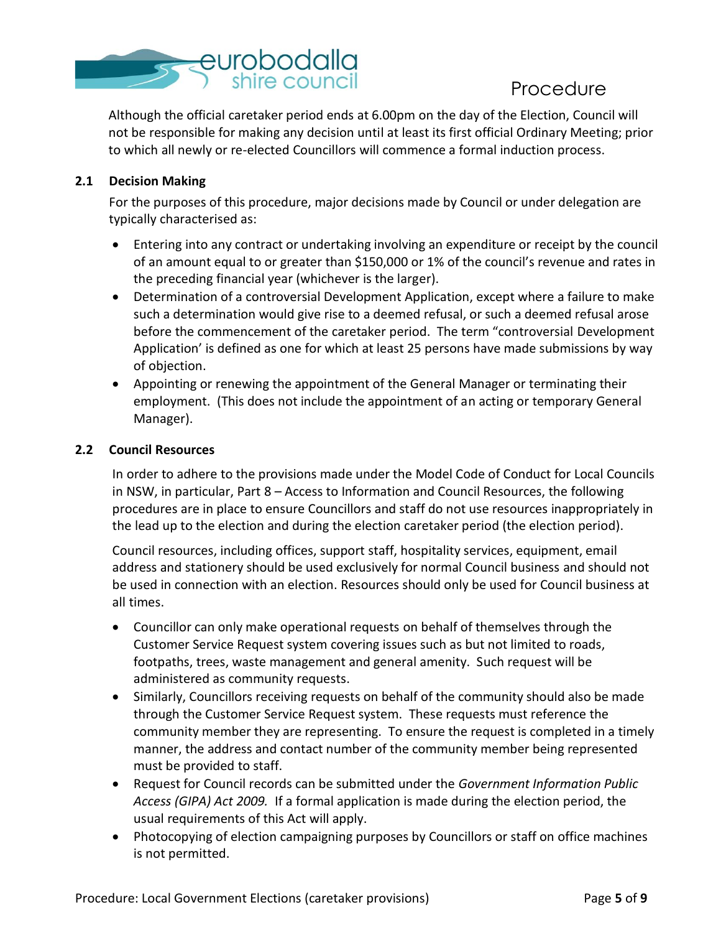

Although the official caretaker period ends at 6.00pm on the day of the Election, Council will not be responsible for making any decision until at least its first official Ordinary Meeting; prior to which all newly or re-elected Councillors will commence a formal induction process.

### <span id="page-4-0"></span>**2.1 Decision Making**

For the purposes of this procedure, major decisions made by Council or under delegation are typically characterised as:

- Entering into any contract or undertaking involving an expenditure or receipt by the council of an amount equal to or greater than \$150,000 or 1% of the council's revenue and rates in the preceding financial year (whichever is the larger).
- Determination of a controversial Development Application, except where a failure to make such a determination would give rise to a deemed refusal, or such a deemed refusal arose before the commencement of the caretaker period. The term "controversial Development Application' is defined as one for which at least 25 persons have made submissions by way of objection.
- Appointing or renewing the appointment of the General Manager or terminating their employment. (This does not include the appointment of an acting or temporary General Manager).

### <span id="page-4-1"></span>**2.2 Council Resources**

In order to adhere to the provisions made under the Model Code of Conduct for Local Councils in NSW, in particular, Part 8 – Access to Information and Council Resources, the following procedures are in place to ensure Councillors and staff do not use resources inappropriately in the lead up to the election and during the election caretaker period (the election period).

Council resources, including offices, support staff, hospitality services, equipment, email address and stationery should be used exclusively for normal Council business and should not be used in connection with an election. Resources should only be used for Council business at all times.

- Councillor can only make operational requests on behalf of themselves through the Customer Service Request system covering issues such as but not limited to roads, footpaths, trees, waste management and general amenity. Such request will be administered as community requests.
- Similarly, Councillors receiving requests on behalf of the community should also be made through the Customer Service Request system. These requests must reference the community member they are representing. To ensure the request is completed in a timely manner, the address and contact number of the community member being represented must be provided to staff.
- Request for Council records can be submitted under the *Government Information Public Access (GIPA) Act 2009.* If a formal application is made during the election period, the usual requirements of this Act will apply.
- Photocopying of election campaigning purposes by Councillors or staff on office machines is not permitted.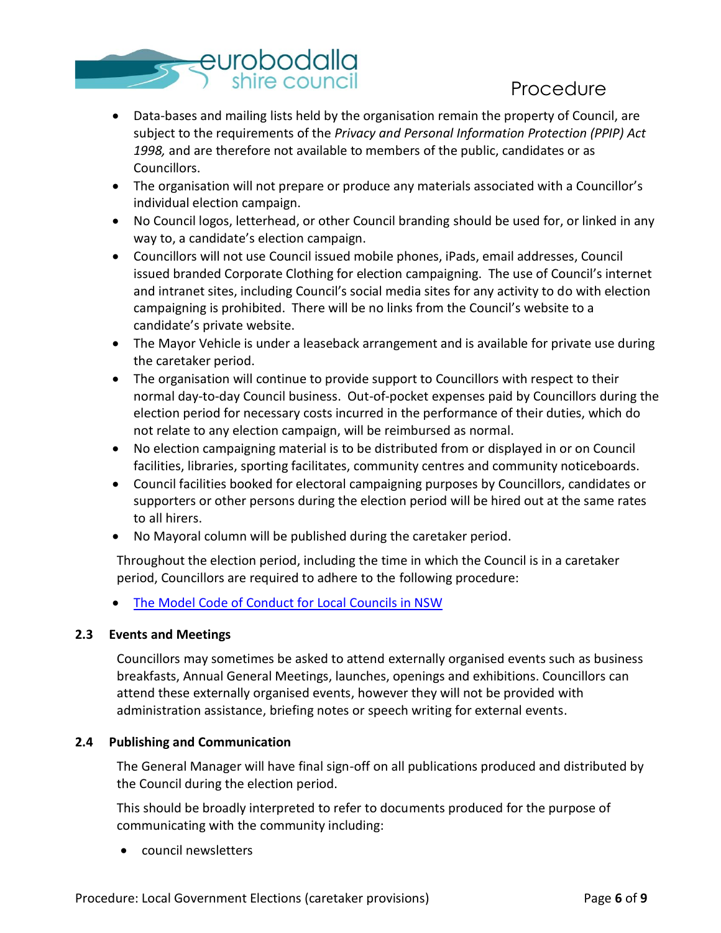

- Data-bases and mailing lists held by the organisation remain the property of Council, are subject to the requirements of the *Privacy and Personal Information Protection (PPIP) Act 1998,* and are therefore not available to members of the public, candidates or as Councillors.
- The organisation will not prepare or produce any materials associated with a Councillor's individual election campaign.
- No Council logos, letterhead, or other Council branding should be used for, or linked in any way to, a candidate's election campaign.
- Councillors will not use Council issued mobile phones, iPads, email addresses, Council issued branded Corporate Clothing for election campaigning. The use of Council's internet and intranet sites, including Council's social media sites for any activity to do with election campaigning is prohibited. There will be no links from the Council's website to a candidate's private website.
- The Mayor Vehicle is under a leaseback arrangement and is available for private use during the caretaker period.
- The organisation will continue to provide support to Councillors with respect to their normal day-to-day Council business. Out-of-pocket expenses paid by Councillors during the election period for necessary costs incurred in the performance of their duties, which do not relate to any election campaign, will be reimbursed as normal.
- No election campaigning material is to be distributed from or displayed in or on Council facilities, libraries, sporting facilitates, community centres and community noticeboards.
- Council facilities booked for electoral campaigning purposes by Councillors, candidates or supporters or other persons during the election period will be hired out at the same rates to all hirers.
- No Mayoral column will be published during the caretaker period.

Throughout the election period, including the time in which the Council is in a caretaker period, Councillors are required to adhere to the following procedure:

[The Model Code of Conduct for Local Councils in NSW](https://www.esc.nsw.gov.au/__data/assets/pdf_file/0010/138556/Model-Code-of-Conduct-2020.pdf)

## <span id="page-5-0"></span>**2.3 Events and Meetings**

Councillors may sometimes be asked to attend externally organised events such as business breakfasts, Annual General Meetings, launches, openings and exhibitions. Councillors can attend these externally organised events, however they will not be provided with administration assistance, briefing notes or speech writing for external events.

## <span id="page-5-1"></span>**2.4 Publishing and Communication**

The General Manager will have final sign-off on all publications produced and distributed by the Council during the election period.

This should be broadly interpreted to refer to documents produced for the purpose of communicating with the community including:

• council newsletters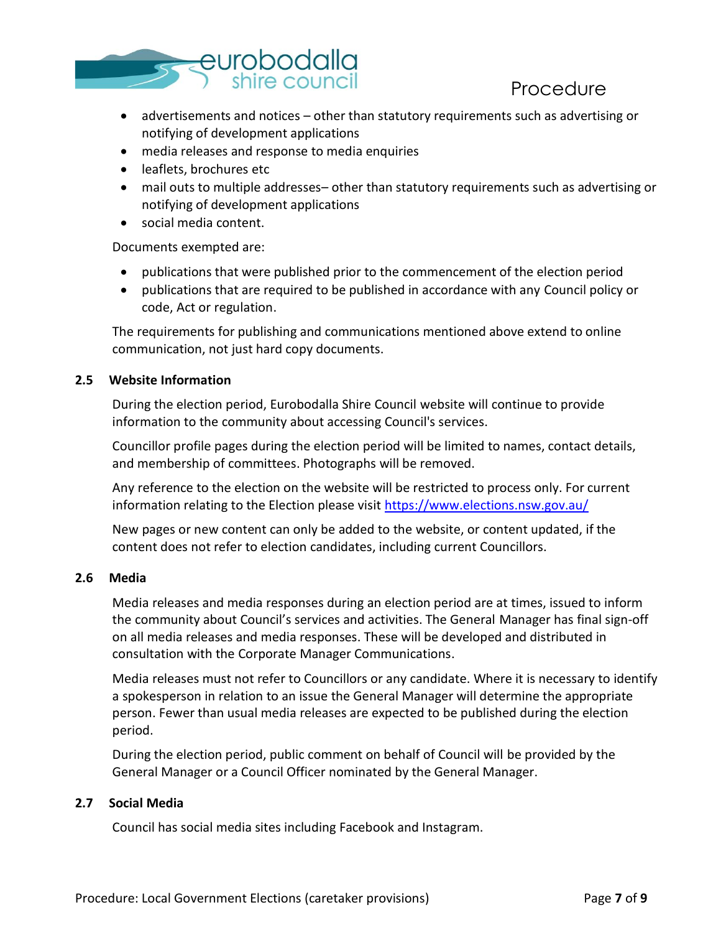

- advertisements and notices other than statutory requirements such as advertising or notifying of development applications
- media releases and response to media enquiries
- leaflets, brochures etc
- mail outs to multiple addresses– other than statutory requirements such as advertising or notifying of development applications
- social media content.

Documents exempted are:

- publications that were published prior to the commencement of the election period
- publications that are required to be published in accordance with any Council policy or code, Act or regulation.

The requirements for publishing and communications mentioned above extend to online communication, not just hard copy documents.

### <span id="page-6-0"></span>**2.5 Website Information**

During the election period, Eurobodalla Shire Council website will continue to provide information to the community about accessing Council's services.

Councillor profile pages during the election period will be limited to names, contact details, and membership of committees. Photographs will be removed.

Any reference to the election on the website will be restricted to process only. For current information relating to the Election please visit<https://www.elections.nsw.gov.au/>

New pages or new content can only be added to the website, or content updated, if the content does not refer to election candidates, including current Councillors.

### <span id="page-6-1"></span>**2.6 Media**

Media releases and media responses during an election period are at times, issued to inform the community about Council's services and activities. The General Manager has final sign-off on all media releases and media responses. These will be developed and distributed in consultation with the Corporate Manager Communications.

Media releases must not refer to Councillors or any candidate. Where it is necessary to identify a spokesperson in relation to an issue the General Manager will determine the appropriate person. Fewer than usual media releases are expected to be published during the election period.

During the election period, public comment on behalf of Council will be provided by the General Manager or a Council Officer nominated by the General Manager.

### <span id="page-6-2"></span>**2.7 Social Media**

Council has social media sites including Facebook and Instagram.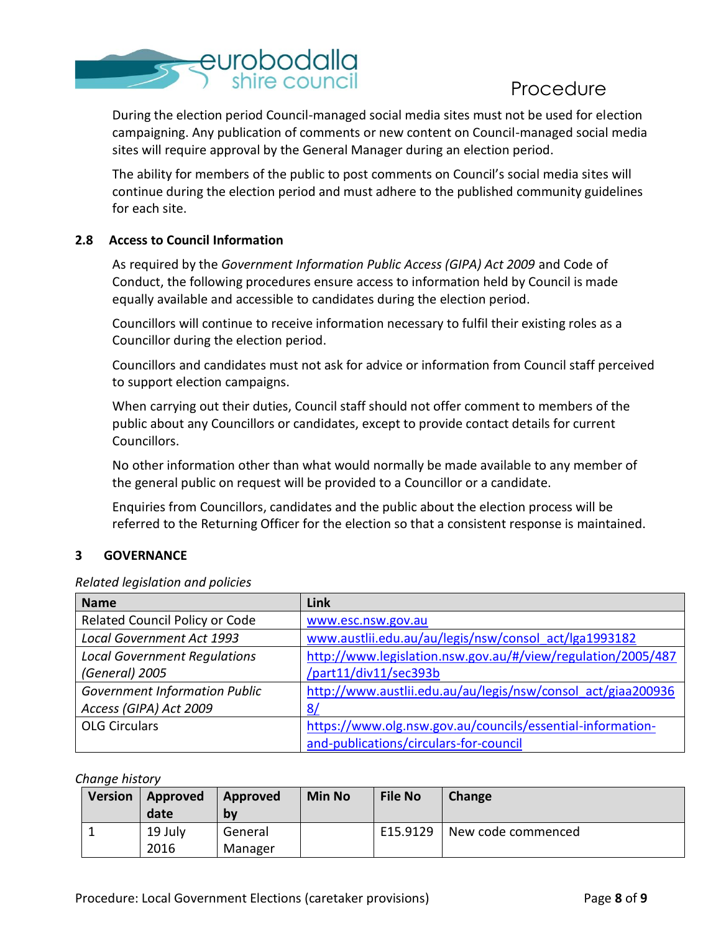

During the election period Council-managed social media sites must not be used for election campaigning. Any publication of comments or new content on Council-managed social media sites will require approval by the General Manager during an election period.

The ability for members of the public to post comments on Council's social media sites will continue during the election period and must adhere to the published community guidelines for each site.

## <span id="page-7-0"></span>**2.8 Access to Council Information**

As required by the *Government Information Public Access (GIPA) Act 2009* and Code of Conduct, the following procedures ensure access to information held by Council is made equally available and accessible to candidates during the election period.

Councillors will continue to receive information necessary to fulfil their existing roles as a Councillor during the election period.

Councillors and candidates must not ask for advice or information from Council staff perceived to support election campaigns.

When carrying out their duties, Council staff should not offer comment to members of the public about any Councillors or candidates, except to provide contact details for current Councillors.

No other information other than what would normally be made available to any member of the general public on request will be provided to a Councillor or a candidate.

Enquiries from Councillors, candidates and the public about the election process will be referred to the Returning Officer for the election so that a consistent response is maintained.

## <span id="page-7-1"></span>**3 GOVERNANCE**

### *Related legislation and policies*

| <b>Name</b>                          | Link                                                         |
|--------------------------------------|--------------------------------------------------------------|
| Related Council Policy or Code       | www.esc.nsw.gov.au                                           |
| <b>Local Government Act 1993</b>     | www.austlii.edu.au/au/legis/nsw/consol act/lga1993182        |
| <b>Local Government Requlations</b>  | http://www.legislation.nsw.gov.au/#/view/regulation/2005/487 |
| (General) 2005                       | /part11/div11/sec393b                                        |
| <b>Government Information Public</b> | http://www.austlii.edu.au/au/legis/nsw/consol act/giaa200936 |
| Access (GIPA) Act 2009               | 8/                                                           |
| <b>OLG Circulars</b>                 | https://www.olg.nsw.gov.au/councils/essential-information-   |
|                                      | and-publications/circulars-for-council                       |

#### *Change history*

| <b>Version</b> | Approved<br>date | Approved<br><b>b</b> v | <b>Min No</b> | <b>File No</b> | Change             |
|----------------|------------------|------------------------|---------------|----------------|--------------------|
|                | 19 July<br>2016  | General<br>Manager     |               | E15.9129       | New code commenced |